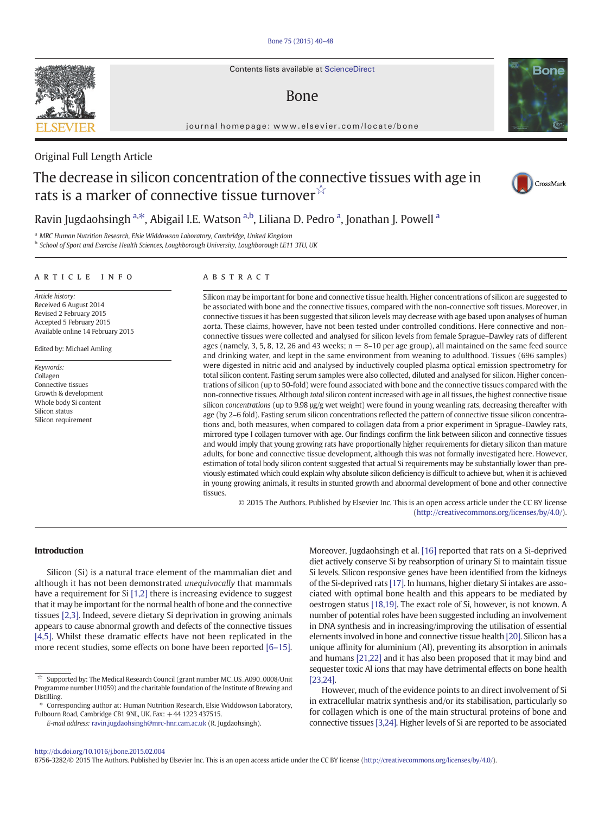Contents lists available at ScienceDirect

## Bone

journal homepage: www.elsevier.com/locate/bone

## Original Full Length Article

# The decrease in silicon concentration of the connective tissues with age in rats is a marker of connective tissue turnover $\vec{r}$

Ravin Jugdaohsingh <sup>a,\*</sup>, Abigail I.E. Watson <sup>a,b</sup>, Liliana D. Pedro <sup>a</sup>, Jonathan J. Powell <sup>a</sup>

<sup>a</sup> MRC Human Nutrition Research, Elsie Widdowson Laboratory, Cambridge, United Kingdom

b School of Sport and Exercise Health Sciences, Loughborough University, Loughborough LE11 3TU, UK

#### article info abstract

Article history: Received 6 August 2014 Revised 2 February 2015 Accepted 5 February 2015 Available online 14 February 2015

Edited by: Michael Amling

Keywords: Collagen Connective tissues Growth & development Whole body Si content Silicon status Silicon requirement

Silicon may be important for bone and connective tissue health. Higher concentrations of silicon are suggested to be associated with bone and the connective tissues, compared with the non-connective soft tissues. Moreover, in connective tissues it has been suggested that silicon levels may decrease with age based upon analyses of human aorta. These claims, however, have not been tested under controlled conditions. Here connective and nonconnective tissues were collected and analysed for silicon levels from female Sprague–Dawley rats of different ages (namely, 3, 5, 8, 12, 26 and 43 weeks;  $n = 8-10$  per age group), all maintained on the same feed source and drinking water, and kept in the same environment from weaning to adulthood. Tissues (696 samples) were digested in nitric acid and analysed by inductively coupled plasma optical emission spectrometry for total silicon content. Fasting serum samples were also collected, diluted and analysed for silicon. Higher concentrations of silicon (up to 50-fold) were found associated with bone and the connective tissues compared with the non-connective tissues. Although total silicon content increased with age in all tissues, the highest connective tissue silicon concentrations (up to 9.98 μg/g wet weight) were found in young weanling rats, decreasing thereafter with age (by 2–6 fold). Fasting serum silicon concentrations reflected the pattern of connective tissue silicon concentrations and, both measures, when compared to collagen data from a prior experiment in Sprague–Dawley rats, mirrored type I collagen turnover with age. Our findings confirm the link between silicon and connective tissues and would imply that young growing rats have proportionally higher requirements for dietary silicon than mature adults, for bone and connective tissue development, although this was not formally investigated here. However, estimation of total body silicon content suggested that actual Si requirements may be substantially lower than previously estimated which could explain why absolute silicon deficiency is difficult to achieve but, when it is achieved in young growing animals, it results in stunted growth and abnormal development of bone and other connective tissues.

© 2015 The Authors. Published by Elsevier Inc. This is an open access article under the CC BY license [\(http://creativecommons.org/licenses/by/4.0/](http://creativecommons.org/licenses/by/4.0/)).

#### Introduction

Silicon (Si) is a natural trace element of the mammalian diet and although it has not been demonstrated unequivocally that mammals have a requirement for Si [\[1,2\]](#page-7-0) there is increasing evidence to suggest that it may be important for the normal health of bone and the connective tissues [\[2,3\].](#page-7-0) Indeed, severe dietary Si deprivation in growing animals appears to cause abnormal growth and defects of the connective tissues [\[4,5\]](#page-7-0). Whilst these dramatic effects have not been replicated in the more recent studies, some effects on bone have been reported [6-[15\].](#page-7-0)

Moreover, Jugdaohsingh et al. [\[16\]](#page-7-0) reported that rats on a Si-deprived diet actively conserve Si by reabsorption of urinary Si to maintain tissue Si levels. Silicon responsive genes have been identified from the kidneys of the Si-deprived rats [\[17\].](#page-7-0) In humans, higher dietary Si intakes are associated with optimal bone health and this appears to be mediated by oestrogen status [\[18,19\].](#page-7-0) The exact role of Si, however, is not known. A number of potential roles have been suggested including an involvement in DNA synthesis and in increasing/improving the utilisation of essential elements involved in bone and connective tissue health [\[20\]](#page-7-0). Silicon has a unique affinity for aluminium (Al), preventing its absorption in animals and humans [\[21,22\]](#page-7-0) and it has also been proposed that it may bind and sequester toxic Al ions that may have detrimental effects on bone health [\[23,24\]](#page-7-0).

However, much of the evidence points to an direct involvement of Si in extracellular matrix synthesis and/or its stabilisation, particularly so for collagen which is one of the main structural proteins of bone and connective tissues [\[3,24\]](#page-7-0). Higher levels of Si are reported to be associated

8756-3282/© 2015 The Authors. Published by Elsevier Inc. This is an open access article under the CC BY license (<http://creativecommons.org/licenses/by/4.0/>).







 $\overrightarrow{x}$  Supported by: The Medical Research Council (grant number MC\_US\_A090\_0008/Unit Programme number U1059) and the charitable foundation of the Institute of Brewing and Distilling.

<sup>⁎</sup> Corresponding author at: Human Nutrition Research, Elsie Widdowson Laboratory, Fulbourn Road, Cambridge CB1 9NL, UK. Fax: +44 1223 437515.

E-mail address: [ravin.jugdaohsingh@mrc-hnr.cam.ac.uk](mailto:ravin.jugdaohsingh@mrc-hnr.cam.ac.uk) (R. Jugdaohsingh).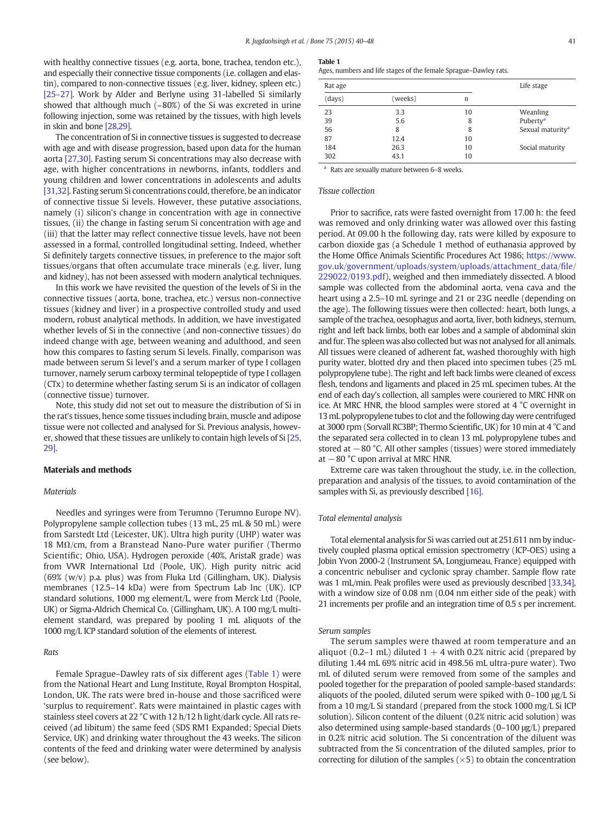<span id="page-1-0"></span>with healthy connective tissues (e.g. aorta, bone, trachea, tendon etc.), and especially their connective tissue components (i.e. collagen and elastin), compared to non-connective tissues (e.g. liver, kidney, spleen etc.) [25–[27\].](#page-7-0) Work by Alder and Berlyne using 31-labelled Si similarly showed that although much  $(-80%)$  of the Si was excreted in urine following injection, some was retained by the tissues, with high levels in skin and bone [\[28,29\].](#page-7-0)

The concentration of Si in connective tissues is suggested to decrease with age and with disease progression, based upon data for the human aorta [\[27,30\].](#page-7-0) Fasting serum Si concentrations may also decrease with age, with higher concentrations in newborns, infants, toddlers and young children and lower concentrations in adolescents and adults [\[31,32\]](#page-8-0). Fasting serum Si concentrations could, therefore, be an indicator of connective tissue Si levels. However, these putative associations, namely (i) silicon's change in concentration with age in connective tissues, (ii) the change in fasting serum Si concentration with age and (iii) that the latter may reflect connective tissue levels, have not been assessed in a formal, controlled longitudinal setting. Indeed, whether Si definitely targets connective tissues, in preference to the major soft tissues/organs that often accumulate trace minerals (e.g. liver, lung and kidney), has not been assessed with modern analytical techniques.

In this work we have revisited the question of the levels of Si in the connective tissues (aorta, bone, trachea, etc.) versus non-connective tissues (kidney and liver) in a prospective controlled study and used modern, robust analytical methods. In addition, we have investigated whether levels of Si in the connective (and non-connective tissues) do indeed change with age, between weaning and adulthood, and seen how this compares to fasting serum Si levels. Finally, comparison was made between serum Si level's and a serum marker of type I collagen turnover, namely serum carboxy terminal telopeptide of type I collagen (CTx) to determine whether fasting serum Si is an indicator of collagen (connective tissue) turnover.

Note, this study did not set out to measure the distribution of Si in the rat's tissues, hence some tissues including brain, muscle and adipose tissue were not collected and analysed for Si. Previous analysis, however, showed that these tissues are unlikely to contain high levels of Si [\[25,](#page-7-0) [29\]](#page-7-0).

#### Materials and methods

#### Materials

Needles and syringes were from Terumno (Terumno Europe NV). Polypropylene sample collection tubes (13 mL, 25 mL & 50 mL) were from Sarstedt Ltd (Leicester, UK). Ultra high purity (UHP) water was 18 M $\Omega$ /cm, from a Branstead Nano-Pure water purifier (Thermo Scientific; Ohio, USA). Hydrogen peroxide (40%, AristaR grade) was from VWR International Ltd (Poole, UK). High purity nitric acid (69% (w/v) p.a. plus) was from Fluka Ltd (Gillingham, UK). Dialysis membranes (12.5–14 kDa) were from Spectrum Lab Inc (UK). ICP standard solutions, 1000 mg element/L, were from Merck Ltd (Poole, UK) or Sigma-Aldrich Chemical Co. (Gillingham, UK). A 100 mg/L multielement standard, was prepared by pooling 1 mL aliquots of the 1000 mg/L ICP standard solution of the elements of interest.

#### Rats

Female Sprague–Dawley rats of six different ages (Table 1) were from the National Heart and Lung Institute, Royal Brompton Hospital, London, UK. The rats were bred in-house and those sacrificed were 'surplus to requirement'. Rats were maintained in plastic cages with stainless steel covers at 22 °C with 12 h/12 h light/dark cycle. All rats received (ad libitum) the same feed (SDS RM1 Expanded; Special Diets Service, UK) and drinking water throughout the 43 weeks. The silicon contents of the feed and drinking water were determined by analysis (see below).

#### Table 1

Ages, numbers and life stages of the female Sprague–Dawley rats.

| Rat age |         |    | Life stage                   |  |
|---------|---------|----|------------------------------|--|
| (days)  | (weeks) | n  |                              |  |
| 23      | 3.3     | 10 | Weanling                     |  |
| 39      | 5.6     | 8  | Puberty <sup>a</sup>         |  |
| 56      | 8       | 8  | Sexual maturity <sup>a</sup> |  |
| 87      | 12.4    | 10 |                              |  |
| 184     | 26.3    | 10 | Social maturity              |  |
| 302     | 43.1    | 10 |                              |  |

<sup>a</sup> Rats are sexually mature between 6–8 weeks.

#### Tissue collection

Prior to sacrifice, rats were fasted overnight from 17.00 h: the feed was removed and only drinking water was allowed over this fasting period. At 09.00 h the following day, rats were killed by exposure to carbon dioxide gas (a Schedule 1 method of euthanasia approved by the Home Office Animals Scientific Procedures Act 1986; [https://www.](https://www.gov.uk/government/uploads/system/uploads/attachment_data/file/229022/0193.pdf) [gov.uk/government/uploads/system/uploads/attachment\\_data/](https://www.gov.uk/government/uploads/system/uploads/attachment_data/file/229022/0193.pdf)file/ [229022/0193.pdf\)](https://www.gov.uk/government/uploads/system/uploads/attachment_data/file/229022/0193.pdf), weighed and then immediately dissected. A blood sample was collected from the abdominal aorta, vena cava and the heart using a 2.5–10 mL syringe and 21 or 23G needle (depending on the age). The following tissues were then collected: heart, both lungs, a sample of the trachea, oesophagus and aorta, liver, both kidneys, sternum, right and left back limbs, both ear lobes and a sample of abdominal skin and fur. The spleen was also collected but was not analysed for all animals. All tissues were cleaned of adherent fat, washed thoroughly with high purity water, blotted dry and then placed into specimen tubes (25 mL polypropylene tube). The right and left back limbs were cleaned of excess flesh, tendons and ligaments and placed in 25 mL specimen tubes. At the end of each day's collection, all samples were couriered to MRC HNR on ice. At MRC HNR, the blood samples were stored at 4 °C overnight in 13 mL polypropylene tubes to clot and the following day were centrifuged at 3000 rpm (Sorvall RC3BP; Thermo Scientific, UK) for 10 min at 4 °C and the separated sera collected in to clean 13 mL polypropylene tubes and stored at −80 °C. All other samples (tissues) were stored immediately at  $-80$  °C upon arrival at MRC HNR.

Extreme care was taken throughout the study, i.e. in the collection, preparation and analysis of the tissues, to avoid contamination of the samples with Si, as previously described [\[16\]](#page-7-0).

#### Total elemental analysis

Total elemental analysis for Si was carried out at 251.611 nm by inductively coupled plasma optical emission spectrometry (ICP-OES) using a Jobin Yvon 2000-2 (Instrument SA, Longjumeau, France) equipped with a concentric nebuliser and cyclonic spray chamber. Sample flow rate was 1 mL/min. Peak profiles were used as previously described [\[33,34\],](#page-8-0) with a window size of 0.08 nm (0.04 nm either side of the peak) with 21 increments per profile and an integration time of 0.5 s per increment.

#### Serum samples

The serum samples were thawed at room temperature and an aliquot (0.2–1 mL) diluted  $1 + 4$  with 0.2% nitric acid (prepared by diluting 1.44 mL 69% nitric acid in 498.56 mL ultra-pure water). Two mL of diluted serum were removed from some of the samples and pooled together for the preparation of pooled sample-based standards: aliquots of the pooled, diluted serum were spiked with 0–100 μg/L Si from a 10 mg/L Si standard (prepared from the stock 1000 mg/L Si ICP solution). Silicon content of the diluent (0.2% nitric acid solution) was also determined using sample-based standards (0–100 μg/L) prepared in 0.2% nitric acid solution. The Si concentration of the diluent was subtracted from the Si concentration of the diluted samples, prior to correcting for dilution of the samples  $(x5)$  to obtain the concentration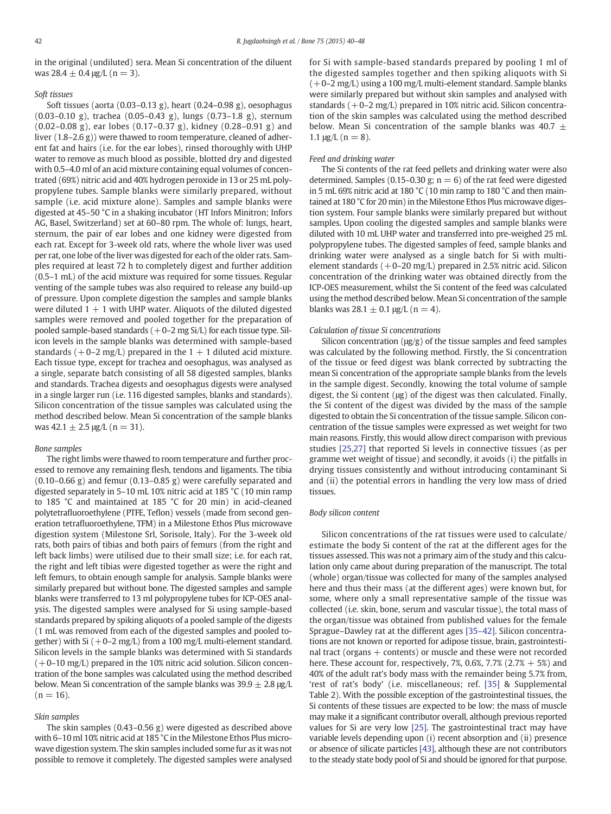in the original (undiluted) sera. Mean Si concentration of the diluent was  $28.4 \pm 0.4$  μg/L (n = 3).

#### Soft tissues

Soft tissues (aorta (0.03–0.13 g), heart (0.24–0.98 g), oesophagus (0.03–0.10 g), trachea (0.05–0.43 g), lungs (0.73–1.8 g), sternum (0.02–0.08 g), ear lobes (0.17–0.37 g), kidney (0.28–0.91 g) and liver (1.8–2.6 g)) were thawed to room temperature, cleaned of adherent fat and hairs (i.e. for the ear lobes), rinsed thoroughly with UHP water to remove as much blood as possible, blotted dry and digested with 0.5–4.0 ml of an acid mixture containing equal volumes of concentrated (69%) nitric acid and 40% hydrogen peroxide in 13 or 25 mL polypropylene tubes. Sample blanks were similarly prepared, without sample (i.e. acid mixture alone). Samples and sample blanks were digested at 45–50 °C in a shaking incubator (HT Infors Minitron; Infors AG, Basel, Switzerland) set at 60–80 rpm. The whole of: lungs, heart, sternum, the pair of ear lobes and one kidney were digested from each rat. Except for 3-week old rats, where the whole liver was used per rat, one lobe of the liver was digested for each of the older rats. Samples required at least 72 h to completely digest and further addition (0.5–1 mL) of the acid mixture was required for some tissues. Regular venting of the sample tubes was also required to release any build-up of pressure. Upon complete digestion the samples and sample blanks were diluted  $1 + 1$  with UHP water. Aliquots of the diluted digested samples were removed and pooled together for the preparation of pooled sample-based standards  $(+0-2$  mg Si/L) for each tissue type. Silicon levels in the sample blanks was determined with sample-based standards  $(+0-2 \text{ mg/L})$  prepared in the  $1 + 1$  diluted acid mixture. Each tissue type, except for trachea and oesophagus, was analysed as a single, separate batch consisting of all 58 digested samples, blanks and standards. Trachea digests and oesophagus digests were analysed in a single larger run (i.e. 116 digested samples, blanks and standards). Silicon concentration of the tissue samples was calculated using the method described below. Mean Si concentration of the sample blanks was  $42.1 \pm 2.5$  μg/L (n = 31).

#### Bone samples

The right limbs were thawed to room temperature and further processed to remove any remaining flesh, tendons and ligaments. The tibia  $(0.10-0.66 \text{ g})$  and femur  $(0.13-0.85 \text{ g})$  were carefully separated and digested separately in 5–10 mL 10% nitric acid at 185 °C (10 min ramp to 185 °C and maintained at 185 °C for 20 min) in acid-cleaned polytetrafluoroethylene (PTFE, Teflon) vessels (made from second generation tetrafluoroethylene, TFM) in a Milestone Ethos Plus microwave digestion system (Milestone Srl, Sorisole, Italy). For the 3-week old rats, both pairs of tibias and both pairs of femurs (from the right and left back limbs) were utilised due to their small size; i.e. for each rat, the right and left tibias were digested together as were the right and left femurs, to obtain enough sample for analysis. Sample blanks were similarly prepared but without bone. The digested samples and sample blanks were transferred to 13 ml polypropylene tubes for ICP-OES analysis. The digested samples were analysed for Si using sample-based standards prepared by spiking aliquots of a pooled sample of the digests (1 mL was removed from each of the digested samples and pooled together) with Si  $(+0-2 \text{ mg/L})$  from a 100 mg/L multi-element standard. Silicon levels in the sample blanks was determined with Si standards  $(+0-10 \text{ mg/L})$  prepared in the 10% nitric acid solution. Silicon concentration of the bone samples was calculated using the method described below. Mean Si concentration of the sample blanks was  $39.9 \pm 2.8$   $\mu$ g/L  $(n = 16)$ .

#### Skin samples

The skin samples (0.43–0.56 g) were digested as described above with 6–10 ml 10% nitric acid at 185 °C in the Milestone Ethos Plus microwave digestion system. The skin samples included some fur as it was not possible to remove it completely. The digested samples were analysed for Si with sample-based standards prepared by pooling 1 ml of the digested samples together and then spiking aliquots with Si  $(+0-2$  mg/L) using a 100 mg/L multi-element standard. Sample blanks were similarly prepared but without skin samples and analysed with standards  $(+0-2 \text{ mg/L})$  prepared in 10% nitric acid. Silicon concentration of the skin samples was calculated using the method described below. Mean Si concentration of the sample blanks was 40.7  $\pm$ 1.1  $\mu$ g/L (n = 8).

#### Feed and drinking water

The Si contents of the rat feed pellets and drinking water were also determined. Samples (0.15–0.30 g;  $n = 6$ ) of the rat feed were digested in 5 mL 69% nitric acid at 180 °C (10 min ramp to 180 °C and then maintained at 180 °C for 20 min) in the Milestone Ethos Plus microwave digestion system. Four sample blanks were similarly prepared but without samples. Upon cooling the digested samples and sample blanks were diluted with 10 mL UHP water and transferred into pre-weighed 25 mL polypropylene tubes. The digested samples of feed, sample blanks and drinking water were analysed as a single batch for Si with multielement standards  $(+0-20 \text{ mg/L})$  prepared in 2.5% nitric acid. Silicon concentration of the drinking water was obtained directly from the ICP-OES measurement, whilst the Si content of the feed was calculated using the method described below. Mean Si concentration of the sample blanks was  $28.1 \pm 0.1 \,\text{kg/L}$  (n = 4).

#### Calculation of tissue Si concentrations

Silicon concentration (μg/g) of the tissue samples and feed samples was calculated by the following method. Firstly, the Si concentration of the tissue or feed digest was blank corrected by subtracting the mean Si concentration of the appropriate sample blanks from the levels in the sample digest. Secondly, knowing the total volume of sample digest, the Si content (μg) of the digest was then calculated. Finally, the Si content of the digest was divided by the mass of the sample digested to obtain the Si concentration of the tissue sample. Silicon concentration of the tissue samples were expressed as wet weight for two main reasons. Firstly, this would allow direct comparison with previous studies [\[25,27\]](#page-7-0) that reported Si levels in connective tissues (as per gramme wet weight of tissue) and secondly, it avoids (i) the pitfalls in drying tissues consistently and without introducing contaminant Si and (ii) the potential errors in handling the very low mass of dried tissues.

#### Body silicon content

Silicon concentrations of the rat tissues were used to calculate/ estimate the body Si content of the rat at the different ages for the tissues assessed. This was not a primary aim of the study and this calculation only came about during preparation of the manuscript. The total (whole) organ/tissue was collected for many of the samples analysed here and thus their mass (at the different ages) were known but, for some, where only a small representative sample of the tissue was collected (i.e. skin, bone, serum and vascular tissue), the total mass of the organ/tissue was obtained from published values for the female Sprague–Dawley rat at the different ages [35–[42\].](#page-8-0) Silicon concentrations are not known or reported for adipose tissue, brain, gastrointestinal tract (organs  $+$  contents) or muscle and these were not recorded here. These account for, respectively, 7%, 0.6%, 7.7%  $(2.7% + 5%)$  and 40% of the adult rat's body mass with the remainder being 5.7% from, 'rest of rat's body' (i.e. miscellaneous; ref. [\[35\]](#page-8-0) & Supplemental Table 2). With the possible exception of the gastrointestinal tissues, the Si contents of these tissues are expected to be low: the mass of muscle may make it a significant contributor overall, although previous reported values for Si are very low [\[25\].](#page-7-0) The gastrointestinal tract may have variable levels depending upon (i) recent absorption and (ii) presence or absence of silicate particles [\[43\]](#page-8-0), although these are not contributors to the steady state body pool of Si and should be ignored for that purpose.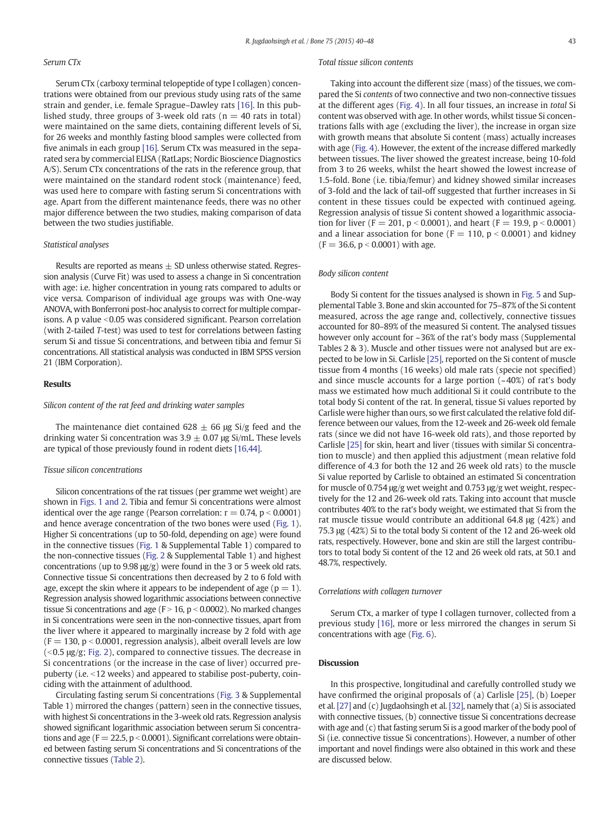### Serum CTx

Serum CTx (carboxy terminal telopeptide of type I collagen) concentrations were obtained from our previous study using rats of the same strain and gender, i.e. female Sprague–Dawley rats [\[16\]](#page-7-0). In this published study, three groups of 3-week old rats ( $n = 40$  rats in total) were maintained on the same diets, containing different levels of Si, for 26 weeks and monthly fasting blood samples were collected from five animals in each group [\[16\]](#page-7-0). Serum CTx was measured in the separated sera by commercial ELISA (RatLaps; Nordic Bioscience Diagnostics A/S). Serum CTx concentrations of the rats in the reference group, that were maintained on the standard rodent stock (maintenance) feed, was used here to compare with fasting serum Si concentrations with age. Apart from the different maintenance feeds, there was no other major difference between the two studies, making comparison of data between the two studies justifiable.

#### Statistical analyses

Results are reported as means  $\pm$  SD unless otherwise stated. Regression analysis (Curve Fit) was used to assess a change in Si concentration with age: i.e. higher concentration in young rats compared to adults or vice versa. Comparison of individual age groups was with One-way ANOVA, with Bonferroni post-hoc analysis to correct for multiple comparisons. A p value  $< 0.05$  was considered significant. Pearson correlation (with 2-tailed T-test) was used to test for correlations between fasting serum Si and tissue Si concentrations, and between tibia and femur Si concentrations. All statistical analysis was conducted in IBM SPSS version 21 (IBM Corporation).

#### Results

#### Silicon content of the rat feed and drinking water samples

The maintenance diet contained 628  $\pm$  66 μg Si/g feed and the drinking water Si concentration was  $3.9 \pm 0.07$  μg Si/mL. These levels are typical of those previously found in rodent diets [\[16,44\].](#page-7-0)

#### Tissue silicon concentrations

Silicon concentrations of the rat tissues (per gramme wet weight) are shown in [Figs. 1 and 2.](#page-4-0) Tibia and femur Si concentrations were almost identical over the age range (Pearson correlation:  $r = 0.74$ ,  $p < 0.0001$ ) and hence average concentration of the two bones were used [\(Fig. 1](#page-4-0)). Higher Si concentrations (up to 50-fold, depending on age) were found in the connective tissues [\(Fig. 1](#page-4-0) & Supplemental Table 1) compared to the non-connective tissues [\(Fig. 2](#page-5-0) & Supplemental Table 1) and highest concentrations (up to 9.98 μg/g) were found in the 3 or 5 week old rats. Connective tissue Si concentrations then decreased by 2 to 6 fold with age, except the skin where it appears to be independent of age ( $p = 1$ ). Regression analysis showed logarithmic associations between connective tissue Si concentrations and age ( $F > 16$ ,  $p < 0.0002$ ). No marked changes in Si concentrations were seen in the non-connective tissues, apart from the liver where it appeared to marginally increase by 2 fold with age  $(F = 130, p < 0.0001,$  regression analysis), albeit overall levels are low  $(-0.5 \,\mu g/g;$  [Fig. 2\)](#page-5-0), compared to connective tissues. The decrease in Si concentrations (or the increase in the case of liver) occurred prepuberty (i.e. <12 weeks) and appeared to stabilise post-puberty, coinciding with the attainment of adulthood.

Circulating fasting serum Si concentrations ([Fig. 3](#page-5-0) & Supplemental Table 1) mirrored the changes (pattern) seen in the connective tissues, with highest Si concentrations in the 3-week old rats. Regression analysis showed significant logarithmic association between serum Si concentrations and age ( $F = 22.5$ ,  $p < 0.0001$ ). Significant correlations were obtained between fasting serum Si concentrations and Si concentrations of the connective tissues [\(Table 2](#page-5-0)).

#### Total tissue silicon contents

Taking into account the different size (mass) of the tissues, we compared the Si contents of two connective and two non-connective tissues at the different ages ([Fig. 4](#page-6-0)). In all four tissues, an increase in total Si content was observed with age. In other words, whilst tissue Si concentrations falls with age (excluding the liver), the increase in organ size with growth means that absolute Si content (mass) actually increases with age [\(Fig. 4\)](#page-6-0). However, the extent of the increase differed markedly between tissues. The liver showed the greatest increase, being 10-fold from 3 to 26 weeks, whilst the heart showed the lowest increase of 1.5-fold. Bone (i.e. tibia/femur) and kidney showed similar increases of 3-fold and the lack of tail-off suggested that further increases in Si content in these tissues could be expected with continued ageing. Regression analysis of tissue Si content showed a logarithmic association for liver (F = 201, p < 0.0001), and heart (F = 19.9, p < 0.0001) and a linear association for bone ( $F = 110$ ,  $p < 0.0001$ ) and kidney  $(F = 36.6, p < 0.0001)$  with age.

#### Body silicon content

Body Si content for the tissues analysed is shown in [Fig. 5](#page-6-0) and Supplemental Table 3. Bone and skin accounted for 75–87% of the Si content measured, across the age range and, collectively, connective tissues accounted for 80–89% of the measured Si content. The analysed tissues however only account for ~36% of the rat's body mass (Supplemental Tables 2 & 3). Muscle and other tissues were not analysed but are expected to be low in Si. Carlisle [\[25\],](#page-7-0) reported on the Si content of muscle tissue from 4 months (16 weeks) old male rats (specie not specified) and since muscle accounts for a large portion  $(-40%)$  of rat's body mass we estimated how much additional Si it could contribute to the total body Si content of the rat. In general, tissue Si values reported by Carlisle were higher than ours, so we first calculated the relative fold difference between our values, from the 12-week and 26-week old female rats (since we did not have 16-week old rats), and those reported by Carlisle [\[25\]](#page-7-0) for skin, heart and liver (tissues with similar Si concentration to muscle) and then applied this adjustment (mean relative fold difference of 4.3 for both the 12 and 26 week old rats) to the muscle Si value reported by Carlisle to obtained an estimated Si concentration for muscle of 0.754 μg/g wet weight and 0.753 μg/g wet weight, respectively for the 12 and 26-week old rats. Taking into account that muscle contributes 40% to the rat's body weight, we estimated that Si from the rat muscle tissue would contribute an additional 64.8 μg (42%) and 75.3 μg (42%) Si to the total body Si content of the 12 and 26-week old rats, respectively. However, bone and skin are still the largest contributors to total body Si content of the 12 and 26 week old rats, at 50.1 and 48.7%, respectively.

#### Correlations with collagen turnover

Serum CTx, a marker of type I collagen turnover, collected from a previous study [\[16\]](#page-7-0), more or less mirrored the changes in serum Si concentrations with age [\(Fig. 6](#page-6-0)).

#### **Discussion**

In this prospective, longitudinal and carefully controlled study we have confirmed the original proposals of (a) Carlisle [\[25\],](#page-7-0) (b) Loeper et al. [\[27\]](#page-7-0) and (c) Jugdaohsingh et al. [\[32\],](#page-8-0) namely that (a) Si is associated with connective tissues, (b) connective tissue Si concentrations decrease with age and (c) that fasting serum Si is a good marker of the body pool of Si (i.e. connective tissue Si concentrations). However, a number of other important and novel findings were also obtained in this work and these are discussed below.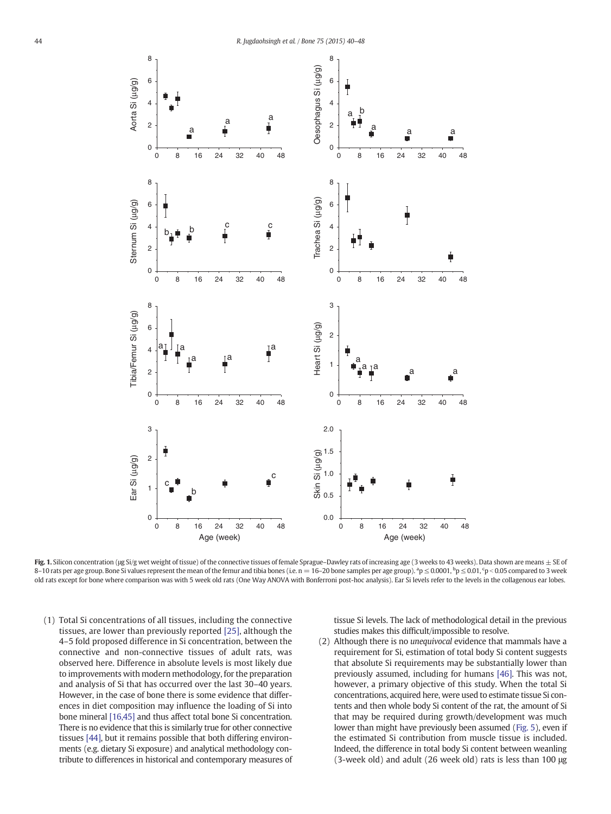<span id="page-4-0"></span>

Fig. 1. Silicon concentration (μg Si/g wet weight of tissue) of the connective tissues of female Sprague–Dawley rats of increasing age (3 weeks to 43 weeks). Data shown are means ± SE of 8–10 rats per age group. Bone Si values represent the mean of the femur and tibia bones (i.e.  $n = 16$ –20 bone samples per age group).  ${}^{\rm a}$ p  $\leq$  0.001,  ${}^{\rm b}$ p  $\leq$  0.01,  ${}^{\rm c}$ p  $\leq$  0.01,  ${}^{\rm c}$ p  $\leq$  0.01 old rats except for bone where comparison was with 5 week old rats (One Way ANOVA with Bonferroni post-hoc analysis). Ear Si levels refer to the levels in the collagenous ear lobes.

(1) Total Si concentrations of all tissues, including the connective tissues, are lower than previously reported [\[25\],](#page-7-0) although the 4–5 fold proposed difference in Si concentration, between the connective and non-connective tissues of adult rats, was observed here. Difference in absolute levels is most likely due to improvements with modern methodology, for the preparation and analysis of Si that has occurred over the last 30–40 years. However, in the case of bone there is some evidence that differences in diet composition may influence the loading of Si into bone mineral [\[16,45\]](#page-7-0) and thus affect total bone Si concentration. There is no evidence that this is similarly true for other connective tissues [\[44\]](#page-8-0), but it remains possible that both differing environments (e.g. dietary Si exposure) and analytical methodology contribute to differences in historical and contemporary measures of tissue Si levels. The lack of methodological detail in the previous studies makes this difficult/impossible to resolve.

(2) Although there is no unequivocal evidence that mammals have a requirement for Si, estimation of total body Si content suggests that absolute Si requirements may be substantially lower than previously assumed, including for humans [\[46\]](#page-8-0). This was not, however, a primary objective of this study. When the total Si concentrations, acquired here, were used to estimate tissue Si contents and then whole body Si content of the rat, the amount of Si that may be required during growth/development was much lower than might have previously been assumed [\(Fig. 5\)](#page-6-0), even if the estimated Si contribution from muscle tissue is included. Indeed, the difference in total body Si content between weanling (3-week old) and adult (26 week old) rats is less than 100 μg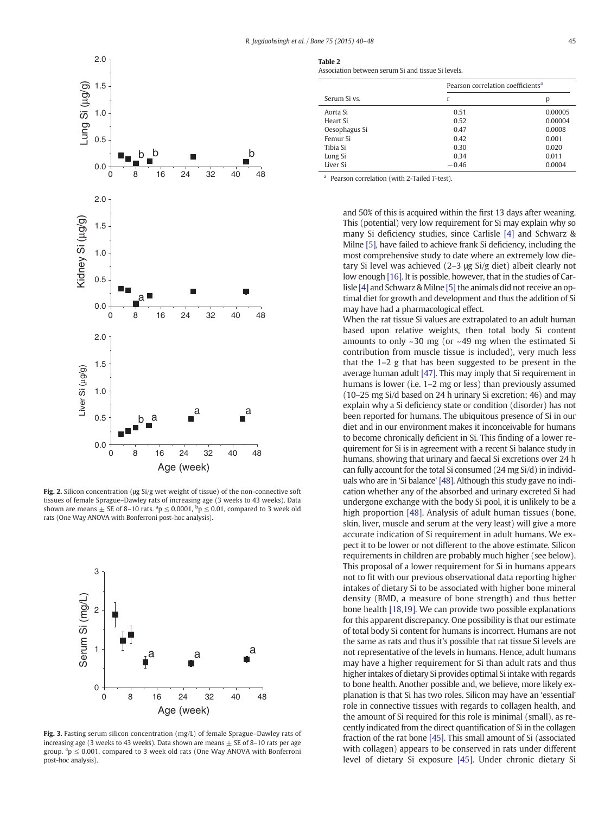<span id="page-5-0"></span>

Fig. 2. Silicon concentration (μg Si/g wet weight of tissue) of the non-connective soft tissues of female Sprague–Dawley rats of increasing age (3 weeks to 43 weeks). Data shown are means  $\pm$  SE of 8–10 rats.  $^{\rm a}$ p  $\leq$  0.0001,  $^{\rm b}$ p  $\leq$  0.01, compared to 3 week old rats (One Way ANOVA with Bonferroni post-hoc analysis).



Fig. 3. Fasting serum silicon concentration (mg/L) of female Sprague–Dawley rats of increasing age (3 weeks to 43 weeks). Data shown are means  $\pm$  SE of 8-10 rats per age group.  ${}^{a}p \leq 0.001$ , compared to 3 week old rats (One Way ANOVA with Bonferroni post-hoc analysis).

Table 2 Association between serum Si and tissue Si levels.

|               | Pearson correlation coefficients <sup>a</sup> |         |
|---------------|-----------------------------------------------|---------|
| Serum Si vs.  | r                                             | р       |
| Aorta Si      | 0.51                                          | 0.00005 |
| Heart Si      | 0.52                                          | 0.00004 |
| Oesophagus Si | 0.47                                          | 0.0008  |
| Femur Si      | 0.42                                          | 0.001   |
| Tibia Si      | 0.30                                          | 0.020   |
| Lung Si       | 0.34                                          | 0.011   |
| Liver Si      | $-0.46$                                       | 0.0004  |

 $a$  Pearson correlation (with 2-Tailed T-test).

and 50% of this is acquired within the first 13 days after weaning. This (potential) very low requirement for Si may explain why so many Si deficiency studies, since Carlisle [\[4\]](#page-7-0) and Schwarz & Milne [\[5\]](#page-7-0), have failed to achieve frank Si deficiency, including the most comprehensive study to date where an extremely low dietary Si level was achieved (2–3 μg Si/g diet) albeit clearly not low enough [\[16\]](#page-7-0). It is possible, however, that in the studies of Carlisle  $[4]$  and Schwarz & Milne  $[5]$  the animals did not receive an optimal diet for growth and development and thus the addition of Si may have had a pharmacological effect.

When the rat tissue Si values are extrapolated to an adult human based upon relative weights, then total body Si content amounts to only ~30 mg (or ~49 mg when the estimated Si contribution from muscle tissue is included), very much less that the 1–2 g that has been suggested to be present in the average human adult [\[47\].](#page-8-0) This may imply that Si requirement in humans is lower (i.e. 1–2 mg or less) than previously assumed (10–25 mg Si/d based on 24 h urinary Si excretion; 46) and may explain why a Si deficiency state or condition (disorder) has not been reported for humans. The ubiquitous presence of Si in our diet and in our environment makes it inconceivable for humans to become chronically deficient in Si. This finding of a lower requirement for Si is in agreement with a recent Si balance study in humans, showing that urinary and faecal Si excretions over 24 h can fully account for the total Si consumed (24 mg Si/d) in individuals who are in 'Si balance' [\[48\].](#page-8-0) Although this study gave no indication whether any of the absorbed and urinary excreted Si had undergone exchange with the body Si pool, it is unlikely to be a high proportion [\[48\].](#page-8-0) Analysis of adult human tissues (bone, skin, liver, muscle and serum at the very least) will give a more accurate indication of Si requirement in adult humans. We expect it to be lower or not different to the above estimate. Silicon requirements in children are probably much higher (see below). This proposal of a lower requirement for Si in humans appears not to fit with our previous observational data reporting higher intakes of dietary Si to be associated with higher bone mineral density (BMD, a measure of bone strength) and thus better bone health [\[18,19\].](#page-7-0) We can provide two possible explanations for this apparent discrepancy. One possibility is that our estimate of total body Si content for humans is incorrect. Humans are not the same as rats and thus it's possible that rat tissue Si levels are not representative of the levels in humans. Hence, adult humans may have a higher requirement for Si than adult rats and thus higher intakes of dietary Si provides optimal Si intake with regards to bone health. Another possible and, we believe, more likely explanation is that Si has two roles. Silicon may have an 'essential' role in connective tissues with regards to collagen health, and the amount of Si required for this role is minimal (small), as recently indicated from the direct quantification of Si in the collagen fraction of the rat bone [\[45\].](#page-8-0) This small amount of Si (associated with collagen) appears to be conserved in rats under different level of dietary Si exposure [\[45\].](#page-8-0) Under chronic dietary Si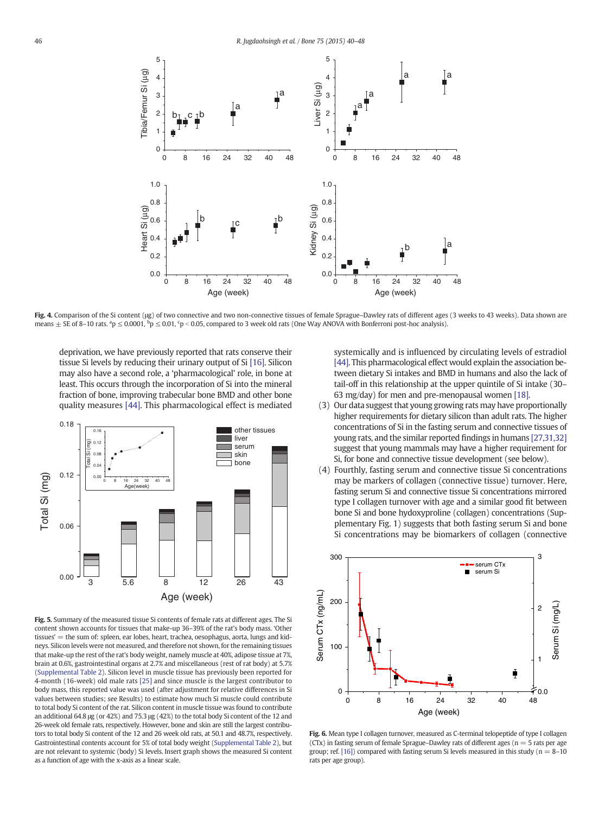<span id="page-6-0"></span>

Fig. 4. Comparison of the Si content (µg) of two connective and two non-connective tissues of female Sprague–Dawley rats of different ages (3 weeks to 43 weeks). Data shown are means  $\pm$  SE of 8–10 rats. <sup>a</sup>p  $\leq$  0.0001, <sup>b</sup>p  $\leq$  0.01, <sup>c</sup>p < 0.05, compared to 3 week old rats (One Way ANOVA with Bonferroni post-hoc analysis).

deprivation, we have previously reported that rats conserve their tissue Si levels by reducing their urinary output of Si [\[16\].](#page-7-0) Silicon may also have a second role, a 'pharmacological' role, in bone at least. This occurs through the incorporation of Si into the mineral fraction of bone, improving trabecular bone BMD and other bone quality measures [\[44\].](#page-8-0) This pharmacological effect is mediated



Fig. 5. Summary of the measured tissue Si contents of female rats at different ages. The Si content shown accounts for tissues that make-up 36–39% of the rat's body mass. 'Other tissues' = the sum of: spleen, ear lobes, heart, trachea, oesophagus, aorta, lungs and kidneys. Silicon levels were not measured, and therefore not shown, for the remaining tissues that make-up the rest of the rat's body weight, namely muscle at 40%, adipose tissue at 7%, brain at 0.6%, gastrointestinal organs at 2.7% and miscellaneous (rest of rat body) at 5.7% ([Supplemental Table 2](#page-1-0)). Silicon level in muscle tissue has previously been reported for 4-month (16-week) old male rats [\[25\]](#page-7-0) and since muscle is the largest contributor to body mass, this reported value was used (after adjustment for relative differences in Si values between studies; see Results) to estimate how much Si muscle could contribute to total body Si content of the rat. Silicon content in muscle tissue was found to contribute an additional 64.8 μg (or 42%) and 75.3 μg (42%) to the total body Si content of the 12 and 26-week old female rats, respectively. However, bone and skin are still the largest contributors to total body Si content of the 12 and 26 week old rats, at 50.1 and 48.7%, respectively. Gastrointestinal contents account for 5% of total body weight ([Supplemental Table 2\)](#page-1-0), but are not relevant to systemic (body) Si levels. Insert graph shows the measured Si content as a function of age with the x-axis as a linear scale.

systemically and is influenced by circulating levels of estradiol [\[44\].](#page-8-0) This pharmacological effect would explain the association between dietary Si intakes and BMD in humans and also the lack of tail-off in this relationship at the upper quintile of Si intake (30– 63 mg/day) for men and pre-menopausal women [\[18\]](#page-7-0).

- (3) Our data suggest that young growing rats may have proportionally higher requirements for dietary silicon than adult rats. The higher concentrations of Si in the fasting serum and connective tissues of young rats, and the similar reported findings in humans [\[27,31,32\]](#page-7-0) suggest that young mammals may have a higher requirement for Si, for bone and connective tissue development (see below).
- (4) Fourthly, fasting serum and connective tissue Si concentrations may be markers of collagen (connective tissue) turnover. Here, fasting serum Si and connective tissue Si concentrations mirrored type I collagen turnover with age and a similar good fit between bone Si and bone hydoxyproline (collagen) concentrations (Supplementary Fig. 1) suggests that both fasting serum Si and bone Si concentrations may be biomarkers of collagen (connective



Fig. 6. Mean type I collagen turnover, measured as C-terminal telopeptide of type I collagen (CTx) in fasting serum of female Sprague–Dawley rats of different ages ( $n = 5$  rats per age group; ref. [\[16\]\)](#page-7-0) compared with fasting serum Si levels measured in this study ( $n = 8-10$ rats per age group).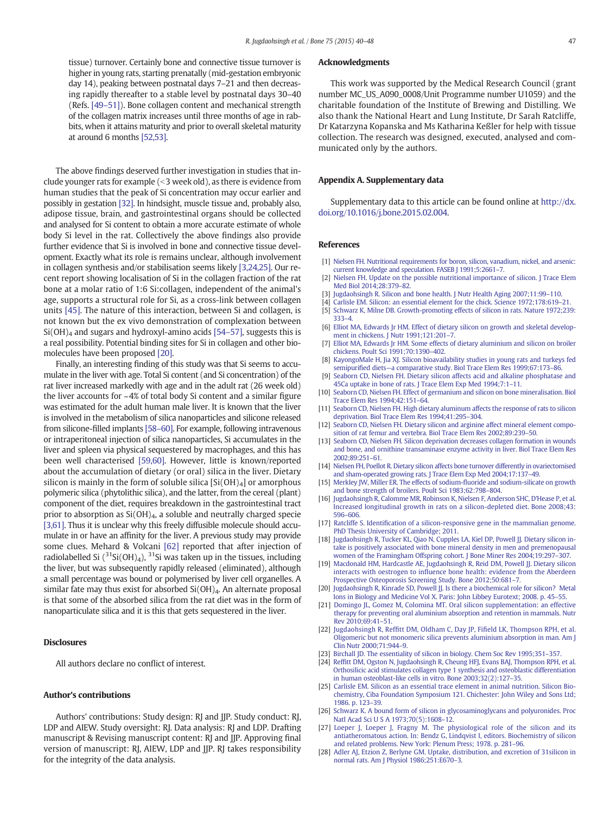<span id="page-7-0"></span>tissue) turnover. Certainly bone and connective tissue turnover is higher in young rats, starting prenatally (mid-gestation embryonic day 14), peaking between postnatal days 7–21 and then decreasing rapidly thereafter to a stable level by postnatal days 30–40 (Refs. [49–[51\]\)](#page-8-0). Bone collagen content and mechanical strength of the collagen matrix increases until three months of age in rabbits, when it attains maturity and prior to overall skeletal maturity at around 6 months [\[52,53\].](#page-8-0)

The above findings deserved further investigation in studies that include younger rats for example  $(<$ 3 week old), as there is evidence from human studies that the peak of Si concentration may occur earlier and possibly in gestation [\[32\].](#page-8-0) In hindsight, muscle tissue and, probably also, adipose tissue, brain, and gastrointestinal organs should be collected and analysed for Si content to obtain a more accurate estimate of whole body Si level in the rat. Collectively the above findings also provide further evidence that Si is involved in bone and connective tissue development. Exactly what its role is remains unclear, although involvement in collagen synthesis and/or stabilisation seems likely [3,24,25]. Our recent report showing localisation of Si in the collagen fraction of the rat bone at a molar ratio of 1:6 Si:collagen, independent of the animal's age, supports a structural role for Si, as a cross-link between collagen units [\[45\]](#page-8-0). The nature of this interaction, between Si and collagen, is not known but the ex vivo demonstration of complexation between  $Si(OH)_4$  and sugars and hydroxyl-amino acids [\[54](#page-8-0)–57], suggests this is a real possibility. Potential binding sites for Si in collagen and other biomolecules have been proposed [20].

Finally, an interesting finding of this study was that Si seems to accumulate in the liver with age. Total Si content (and Si concentration) of the rat liver increased markedly with age and in the adult rat (26 week old) the liver accounts for ~4% of total body Si content and a similar figure was estimated for the adult human male liver. It is known that the liver is involved in the metabolism of silica nanoparticles and silicone released from silicone-filled implants [\[58](#page-8-0)–60]. For example, following intravenous or intraperitoneal injection of silica nanoparticles, Si accumulates in the liver and spleen via physical sequestered by macrophages, and this has been well characterised [\[59,60\]](#page-8-0). However, little is known/reported about the accumulation of dietary (or oral) silica in the liver. Dietary silicon is mainly in the form of soluble silica  $[Si(OH)_4]$  or amorphous polymeric silica (phytolithic silica), and the latter, from the cereal (plant) component of the diet, requires breakdown in the gastrointestinal tract prior to absorption as  $Si(OH)_4$ , a soluble and neutrally charged specie [3,61]. Thus it is unclear why this freely diffusible molecule should accumulate in or have an affinity for the liver. A previous study may provide some clues. Mehard & Volcani [\[62\]](#page-8-0) reported that after injection of radiolabelled Si  $(^{31}Si(OH)_4)$ ,  $^{31}Si$  was taken up in the tissues, including the liver, but was subsequently rapidly released (eliminated), although a small percentage was bound or polymerised by liver cell organelles. A similar fate may thus exist for absorbed  $Si(OH)_4$ . An alternate proposal is that some of the absorbed silica from the rat diet was in the form of nanoparticulate silica and it is this that gets sequestered in the liver.

#### **Disclosures**

All authors declare no conflict of interest.

#### Author's contributions

Authors' contributions: Study design: RJ and JJP. Study conduct: RJ, LDP and AIEW. Study oversight: RJ. Data analysis: RJ and LDP. Drafting manuscript & Revising manuscript content: RJ and JJP. Approving final version of manuscript: RJ, AIEW, LDP and JJP. RJ takes responsibility for the integrity of the data analysis.

#### Acknowledgments

This work was supported by the Medical Research Council (grant number MC\_US\_A090\_0008/Unit Programme number U1059) and the charitable foundation of the Institute of Brewing and Distilling. We also thank the National Heart and Lung Institute, Dr Sarah Ratcliffe, Dr Katarzyna Kopanska and Ms Katharina Keßler for help with tissue collection. The research was designed, executed, analysed and communicated only by the authors.

#### Appendix A. Supplementary data

Supplementary data to this article can be found online at [http://dx.](http://dx.doi.org/10.1016/j.bone.2015.02.004) [doi.org/10.1016/j.bone.2015.02.004](http://dx.doi.org/10.1016/j.bone.2015.02.004).

#### References

- [1] [Nielsen FH. Nutritional requirements for boron, silicon, vanadium, nickel, and arsenic:](http://refhub.elsevier.com/S8756-3282(15)00041-1/rf0005) [current knowledge and speculation. FASEB J 1991;5:2661](http://refhub.elsevier.com/S8756-3282(15)00041-1/rf0005)–7.
- [2] [Nielsen FH. Update on the possible nutritional importance of silicon. J Trace Elem](http://refhub.elsevier.com/S8756-3282(15)00041-1/rf0010) [Med Biol 2014;28:379](http://refhub.elsevier.com/S8756-3282(15)00041-1/rf0010)–82.
- [3] [Jugdaohsingh R. Silicon and bone health. J Nutr Health Aging 2007;11:99](http://refhub.elsevier.com/S8756-3282(15)00041-1/rf0015)–110.
- [4] [Carlisle EM. Silicon: an essential element for the chick. Science 1972;178:619](http://refhub.elsevier.com/S8756-3282(15)00041-1/rf0020)–21.
- [5] [Schwarz K, Milne DB. Growth-promoting effects of silicon in rats. Nature 1972;239:](http://refhub.elsevier.com/S8756-3282(15)00041-1/rf0025) [333](http://refhub.elsevier.com/S8756-3282(15)00041-1/rf0025)–4.
- [6] [Elliot MA, Edwards Jr HM. Effect of dietary silicon on growth and skeletal develop](http://refhub.elsevier.com/S8756-3282(15)00041-1/rf0030)[ment in chickens. J Nutr 1991;121:201](http://refhub.elsevier.com/S8756-3282(15)00041-1/rf0030)-7
- [7] [Elliot MA, Edwards Jr HM. Some effects of dietary aluminium and silicon on broiler](http://refhub.elsevier.com/S8756-3282(15)00041-1/rf0035) [chickens. Poult Sci 1991;70:1390](http://refhub.elsevier.com/S8756-3282(15)00041-1/rf0035)–402.
- [8] [KayongoMale H, Jia XJ. Silicon bioavailability studies in young rats and turkeys fed](http://refhub.elsevier.com/S8756-3282(15)00041-1/rf0040) semipurified diets—[a comparative study. Biol Trace Elem Res 1999;67:173](http://refhub.elsevier.com/S8756-3282(15)00041-1/rf0040)–86.
- [9] [Seaborn CD, Nielsen FH. Dietary silicon affects acid and alkaline phosphatase and](http://refhub.elsevier.com/S8756-3282(15)00041-1/rf0045) [45Ca uptake in bone of rats. J Trace Elem Exp Med 1994;7:1](http://refhub.elsevier.com/S8756-3282(15)00041-1/rf0045)–11.
- [10] [Seaborn CD, Nielsen FH. Effect of germanium and silicon on bone mineralisation. Biol](http://refhub.elsevier.com/S8756-3282(15)00041-1/rf0050) [Trace Elem Res 1994;42:151](http://refhub.elsevier.com/S8756-3282(15)00041-1/rf0050)–64.
- [11] [Seaborn CD, Nielsen FH. High dietary aluminum affects the response of rats to silicon](http://refhub.elsevier.com/S8756-3282(15)00041-1/rf0055) [deprivation. Biol Trace Elem Res 1994;41:295](http://refhub.elsevier.com/S8756-3282(15)00041-1/rf0055)–304.
- [12] [Seaborn CD, Nielsen FH. Dietary silicon and arginine affect mineral element compo](http://refhub.elsevier.com/S8756-3282(15)00041-1/rf0060)[sition of rat femur and vertebra. Biol Trace Elem Res 2002;89:239](http://refhub.elsevier.com/S8756-3282(15)00041-1/rf0060)–50.
- [13] [Seaborn CD, Nielsen FH. Silicon deprivation decreases collagen formation in wounds](http://refhub.elsevier.com/S8756-3282(15)00041-1/rf0065) [and bone, and ornithine transaminase enzyme activity in liver. Biol Trace Elem Res](http://refhub.elsevier.com/S8756-3282(15)00041-1/rf0065) [2002;89:251](http://refhub.elsevier.com/S8756-3282(15)00041-1/rf0065)–61.
- [14] [Nielsen FH, Poellot R. Dietary silicon affects bone turnover differently in ovariectomised](http://refhub.elsevier.com/S8756-3282(15)00041-1/rf0070) [and sham-operated growing rats. J Trace Elem Exp Med 2004;17:137](http://refhub.elsevier.com/S8756-3282(15)00041-1/rf0070)–49.
- [15] [Merkley JW, Miller ER. The effects of sodium-](http://refhub.elsevier.com/S8756-3282(15)00041-1/rf0075)fluoride and sodium-silicate on growth [and bone strength of broilers. Poult Sci 1983;62:798](http://refhub.elsevier.com/S8756-3282(15)00041-1/rf0075)–804.
- [16] [Jugdaohsingh R, Calomme MR, Robinson K, Nielsen F, Anderson SHC, D'Hease P, et al.](http://refhub.elsevier.com/S8756-3282(15)00041-1/rf0080) [Increased longitudinal growth in rats on a silicon-depleted diet. Bone 2008;43:](http://refhub.elsevier.com/S8756-3282(15)00041-1/rf0080) 596–[606.](http://refhub.elsevier.com/S8756-3282(15)00041-1/rf0080)
- [17] Ratcliffe S. Identifi[cation of a silicon-responsive gene in the mammalian genome.](http://refhub.elsevier.com/S8756-3282(15)00041-1/rf0290) [PhD Thesis University of Cambridge; 2011.](http://refhub.elsevier.com/S8756-3282(15)00041-1/rf0290)
- [18] [Jugdaohsingh R, Tucker KL, Qiao N, Cupples LA, Kiel DP, Powell JJ. Dietary silicon in](http://refhub.elsevier.com/S8756-3282(15)00041-1/rf0085)[take is positively associated with bone mineral density in men and premenopausal](http://refhub.elsevier.com/S8756-3282(15)00041-1/rf0085) [women of the Framingham Offspring cohort. J Bone Miner Res 2004;19:297](http://refhub.elsevier.com/S8756-3282(15)00041-1/rf0085)–307.
- [19] [Macdonald HM, Hardcastle AE, Jugdaohsingh R, Reid DM, Powell JJ. Dietary silicon](http://refhub.elsevier.com/S8756-3282(15)00041-1/rf0090) interacts with oestrogen to infl[uence bone health: evidence from the Aberdeen](http://refhub.elsevier.com/S8756-3282(15)00041-1/rf0090) [Prospective Osteoporosis Screening Study. Bone 2012;50:681](http://refhub.elsevier.com/S8756-3282(15)00041-1/rf0090)–7.
- [20] [Jugdaohsingh R, Kinrade SD, Powell JJ. Is there a biochemical role for silicon? Metal](http://refhub.elsevier.com/S8756-3282(15)00041-1/rf0295) [Ions in Biology and Medicine Vol X. Paris: John Libbey Eurotext; 2008. p. 45](http://refhub.elsevier.com/S8756-3282(15)00041-1/rf0295)-55.
- [21] [Domingo JL, Gomez M, Colomina MT. Oral silicon supplementation: an effective](http://refhub.elsevier.com/S8756-3282(15)00041-1/rf0100) [therapy for preventing oral aluminium absorption and retention in mammals. Nutr](http://refhub.elsevier.com/S8756-3282(15)00041-1/rf0100) [Rev 2010;69:41](http://refhub.elsevier.com/S8756-3282(15)00041-1/rf0100)–51.
- [22] Jugdaohsingh R, Reffitt DM, Oldham C, Day JP, Fifi[eld LK, Thompson RPH, et al.](http://refhub.elsevier.com/S8756-3282(15)00041-1/rf0105) [Oligomeric but not monomeric silica prevents aluminium absorption in man. Am J](http://refhub.elsevier.com/S8756-3282(15)00041-1/rf0105) [Clin Nutr 2000;71:944](http://refhub.elsevier.com/S8756-3282(15)00041-1/rf0105)–9.
- [23] [Birchall JD. The essentiality of silicon in biology. Chem Soc Rev 1995;351](http://refhub.elsevier.com/S8756-3282(15)00041-1/rf0110)-357.
- [24] Reffi[tt DM, Ogston N, Jugdaohsingh R, Cheung HFJ, Evans BAJ, Thompson RPH, et al.](http://refhub.elsevier.com/S8756-3282(15)00041-1/rf0115) [Orthosilicic acid stimulates collagen type 1 synthesis and osteoblastic differentiation](http://refhub.elsevier.com/S8756-3282(15)00041-1/rf0115) [in human osteoblast-like cells in vitro. Bone 2003;32\(2\):127](http://refhub.elsevier.com/S8756-3282(15)00041-1/rf0115)–35.
- [25] [Carlisle EM. Silicon as an essential trace element in animal nutrition. Silicon Bio](http://refhub.elsevier.com/S8756-3282(15)00041-1/rf0300)[chemistry, Ciba Foundation Symposium 121. Chichester: John Wiley and Sons Ltd;](http://refhub.elsevier.com/S8756-3282(15)00041-1/rf0300) [1986. p. 123](http://refhub.elsevier.com/S8756-3282(15)00041-1/rf0300)–39.
- [26] [Schwarz K. A bound form of silicon in glycosaminoglycans and polyuronides. Proc](http://refhub.elsevier.com/S8756-3282(15)00041-1/rf0125) [Natl Acad Sci U S A 1973;70\(5\):1608](http://refhub.elsevier.com/S8756-3282(15)00041-1/rf0125)–12.
- [27] [Loeper J, Loeper J, Fragny M. The physiological role of the silicon and its](http://refhub.elsevier.com/S8756-3282(15)00041-1/rf0305) [antiatheromatous action. In: Bendz G, Lindqvist I, editors. Biochemistry of silicon](http://refhub.elsevier.com/S8756-3282(15)00041-1/rf0305) [and related problems. New York: Plenum Press; 1978. p. 281](http://refhub.elsevier.com/S8756-3282(15)00041-1/rf0305)–96.
- [28] [Adler AJ, Etzion Z, Berlyne GM. Uptake, distribution, and excretion of 31silicon in](http://refhub.elsevier.com/S8756-3282(15)00041-1/rf0130) [normal rats. Am J Physiol 1986;251:E670](http://refhub.elsevier.com/S8756-3282(15)00041-1/rf0130)–3.